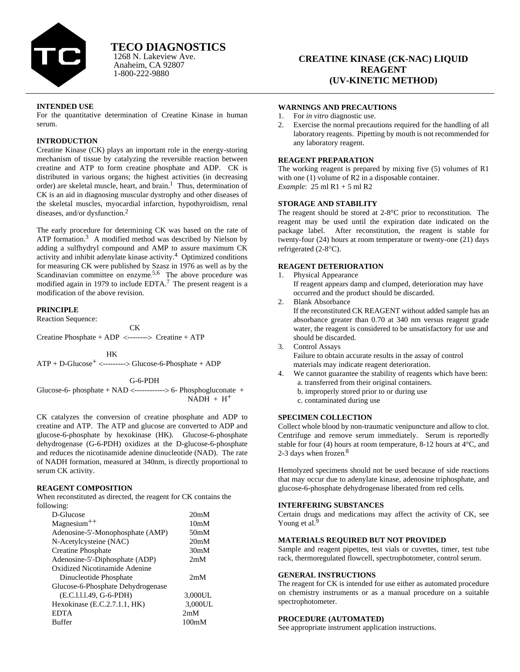

Anaheim, CA 92807 1-800-222-9880

# **CREATINE KINASE (CK-NAC) LIQUID REAGENT (UV-KINETIC METHOD)**

## **INTENDED USE**

For the quantitative determination of Creatine Kinase in human serum.

## **INTRODUCTION**

Creatine Kinase (CK) plays an important role in the energy-storing mechanism of tissue by catalyzing the reversible reaction between creatine and ATP to form creatine phosphate and ADP. CK is distributed in various organs; the highest activities (in decreasing order) are skeletal muscle, heart, and brain.<sup>1</sup> Thus, determination of CK is an aid in diagnosing muscular dystrophy and other diseases of the skeletal muscles, myocardial infarction, hypothyroidism, renal diseases, and/or dysfunction.<sup>2</sup>

The early procedure for determining CK was based on the rate of ATP formation.<sup>3</sup> A modified method was described by Nielson by adding a sulfhydryl compound and AMP to assure maximum CK activity and inhibit adenylate kinase activity.4 Optimized conditions for measuring CK were published by Szasz in 1976 as well as by the Scandinavian committee on enzyme.<sup>5,6</sup> The above procedure was modified again in 1979 to include EDTA.7 The present reagent is a modification of the above revision.

### **PRINCIPLE**

Reaction Sequence:

**CK** Creatine Phosphate + ADP <--------> Creatine + ATP

HK

 $ATP + D-Glucose<sup>+</sup>$  <-------->  $Glucose-6-Phosphate + ADP$ 

Glucose-6- phosphate  $+$  NAD  $\leftarrow$ ------------> 6- Phosphogluconate  $+$  $NADH + H<sup>+</sup>$ 

CK catalyzes the conversion of creatine phosphate and ADP to creatine and ATP. The ATP and glucose are converted to ADP and glucose-6-phosphate by hexokinase (HK). Glucose-6-phosphate dehydrogenase (G-6-PDH) oxidizes at the D-glucose-6-phosphate and reduces the nicotinamide adenine dinucleotide (NAD). The rate of NADH formation, measured at 340nm, is directly proportional to serum CK activity.

## **REAGENT COMPOSITION**

When reconstituted as directed, the reagent for CK contains the following:

| D-Glucose                         | 20 <sub>m</sub> M |
|-----------------------------------|-------------------|
| $Magnesium^{++}$                  | 10 <sub>m</sub> M |
| Adenosine-5'-Monophosphate (AMP)  | 50 <sub>m</sub> M |
| N-Acetylcysteine (NAC)            | 20mM              |
| <b>Creatine Phosphate</b>         | 30 <sub>m</sub> M |
| Adenosine-5'-Diphosphate (ADP)    | 2mM               |
| Oxidized Nicotinamide Adenine     |                   |
| Dinucleotide Phosphate            | 2mM               |
| Glucose-6-Phosphate Dehydrogenase |                   |
| (E.C.1.1.1.49, G-6-PDH)           | 3,000UL           |
| Hexokinase (E.C.2.7.1.1, HK)      | 3,000UL           |
| <b>EDTA</b>                       | 2mM               |
| <b>Buffer</b>                     | 100mM             |

#### **WARNINGS AND PRECAUTIONS**

- 1. For *in vitro* diagnostic use.
- 2. Exercise the normal precautions required for the handling of all laboratory reagents. Pipetting by mouth is not recommended for any laboratory reagent.

### **REAGENT PREPARATION**

The working reagent is prepared by mixing five (5) volumes of R1 with one (1) volume of R2 in a disposable container. *Example*: 25 ml R1 + 5 ml R2

#### **STORAGE AND STABILITY**

The reagent should be stored at 2-8°C prior to reconstitution. The reagent may be used until the expiration date indicated on the package label. After reconstitution, the reagent is stable for twenty-four (24) hours at room temperature or twenty-one (21) days refrigerated (2-8°C).

## **REAGENT DETERIORATION**

1. Physical Appearance

If reagent appears damp and clumped, deterioration may have occurred and the product should be discarded.

- 2. Blank Absorbance If the reconstituted CK REAGENT without added sample has an absorbance greater than 0.70 at 340 nm versus reagent grade water, the reagent is considered to be unsatisfactory for use and should be discarded.
- 3. Control Assays Failure to obtain accurate results in the assay of control materials may indicate reagent deterioration.
- 4. We cannot guarantee the stability of reagents which have been: a. transferred from their original containers. b. improperly stored prior to or during use
	- c. contaminated during use

#### **SPECIMEN COLLECTION**

Collect whole blood by non-traumatic venipuncture and allow to clot. Centrifuge and remove serum immediately. Serum is reportedly stable for four (4) hours at room temperature, 8-12 hours at 4°C, and 2-3 days when frozen. 8

Hemolyzed specimens should not be used because of side reactions that may occur due to adenylate kinase, adenosine triphosphate, and glucose-6-phosphate dehydrogenase liberated from red cells.

## **INTERFERING SUBSTANCES**

Certain drugs and medications may affect the activity of CK, see Young et al.<sup>9</sup>

#### **MATERIALS REQUIRED BUT NOT PROVIDED**

Sample and reagent pipettes, test vials or cuvettes, timer, test tube rack, thermoregulated flowcell, spectrophotometer, control serum.

#### **GENERAL INSTRUCTIONS**

The reagent for CK is intended for use either as automated procedure on chemistry instruments or as a manual procedure on a suitable spectrophotometer.

#### **PROCEDURE (AUTOMATED)**

See appropriate instrument application instructions.

G-6-PDH